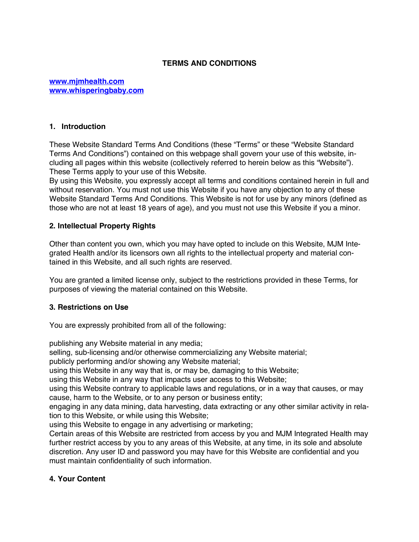## **TERMS AND CONDITIONS**

#### **www.mjmhealth.com www.whisperingbaby.com**

#### **1. Introduction**

These Website Standard Terms And Conditions (these "Terms" or these "Website Standard Terms And Conditions") contained on this webpage shall govern your use of this website, including all pages within this website (collectively referred to herein below as this "Website"). These Terms apply to your use of this Website.

By using this Website, you expressly accept all terms and conditions contained herein in full and without reservation. You must not use this Website if you have any objection to any of these Website Standard Terms And Conditions. This Website is not for use by any minors (defined as those who are not at least 18 years of age), and you must not use this Website if you a minor.

#### **2. Intellectual Property Rights**

Other than content you own, which you may have opted to include on this Website, MJM Integrated Health and/or its licensors own all rights to the intellectual property and material contained in this Website, and all such rights are reserved.

You are granted a limited license only, subject to the restrictions provided in these Terms, for purposes of viewing the material contained on this Website.

### **3. Restrictions on Use**

You are expressly prohibited from all of the following:

publishing any Website material in any media;

selling, sub-licensing and/or otherwise commercializing any Website material;

publicly performing and/or showing any Website material;

using this Website in any way that is, or may be, damaging to this Website;

using this Website in any way that impacts user access to this Website;

using this Website contrary to applicable laws and regulations, or in a way that causes, or may cause, harm to the Website, or to any person or business entity;

engaging in any data mining, data harvesting, data extracting or any other similar activity in relation to this Website, or while using this Website;

using this Website to engage in any advertising or marketing;

Certain areas of this Website are restricted from access by you and MJM Integrated Health may further restrict access by you to any areas of this Website, at any time, in its sole and absolute discretion. Any user ID and password you may have for this Website are confidential and you must maintain confidentiality of such information.

### **4. Your Content**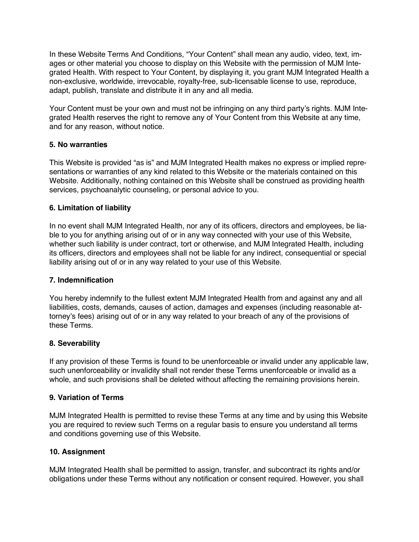In these Website Terms And Conditions, "Your Content" shall mean any audio, video, text, images or other material you choose to display on this Website with the permission of MJM Integrated Health. With respect to Your Content, by displaying it, you grant MJM Integrated Health a non-exclusive, worldwide, irrevocable, royalty-free, sub-licensable license to use, reproduce, adapt, publish, translate and distribute it in any and all media.

Your Content must be your own and must not be infringing on any third party's rights. MJM Integrated Health reserves the right to remove any of Your Content from this Website at any time, and for any reason, without notice.

## **5. No warranties**

This Website is provided "as is" and MJM Integrated Health makes no express or implied representations or warranties of any kind related to this Website or the materials contained on this Website. Additionally, nothing contained on this Website shall be construed as providing health services, psychoanalytic counseling, or personal advice to you.

## **6. Limitation of liability**

In no event shall MJM Integrated Health, nor any of its officers, directors and employees, be liable to you for anything arising out of or in any way connected with your use of this Website, whether such liability is under contract, tort or otherwise, and MJM Integrated Health, including its officers, directors and employees shall not be liable for any indirect, consequential or special liability arising out of or in any way related to your use of this Website.

### **7. Indemnification**

You hereby indemnify to the fullest extent MJM Integrated Health from and against any and all liabilities, costs, demands, causes of action, damages and expenses (including reasonable attorney's fees) arising out of or in any way related to your breach of any of the provisions of these Terms.

# **8. Severability**

If any provision of these Terms is found to be unenforceable or invalid under any applicable law, such unenforceability or invalidity shall not render these Terms unenforceable or invalid as a whole, and such provisions shall be deleted without affecting the remaining provisions herein.

### **9. Variation of Terms**

MJM Integrated Health is permitted to revise these Terms at any time and by using this Website you are required to review such Terms on a regular basis to ensure you understand all terms and conditions governing use of this Website.

### **10. Assignment**

MJM Integrated Health shall be permitted to assign, transfer, and subcontract its rights and/or obligations under these Terms without any notification or consent required. However, you shall